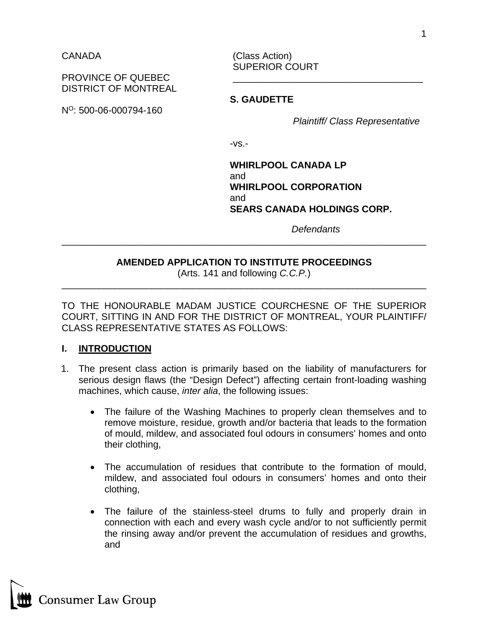CANADA (Class Action) SUPERIOR COURT

PROVINCE OF QUEBEC DISTRICT OF MONTREAL

NO: 500-06-000794-160

**S. GAUDETTE**

*Plaintiff/ Class Representative*

-vs.-

**WHIRLPOOL CANADA LP** and **WHIRLPOOL CORPORATION** and **SEARS CANADA HOLDINGS CORP.**

*Defendants*

## **AMENDED APPLICATION TO INSTITUTE PROCEEDINGS**

\_\_\_\_\_\_\_\_\_\_\_\_\_\_\_\_\_\_\_\_\_\_\_\_\_\_\_\_\_\_\_\_\_\_\_\_\_\_\_\_\_\_\_\_\_\_\_\_\_\_\_\_\_\_\_\_\_\_\_\_\_\_\_\_\_\_\_\_\_

(Arts. 141 and following *C.C.P.*) \_\_\_\_\_\_\_\_\_\_\_\_\_\_\_\_\_\_\_\_\_\_\_\_\_\_\_\_\_\_\_\_\_\_\_\_\_\_\_\_\_\_\_\_\_\_\_\_\_\_\_\_\_\_\_\_\_\_\_\_\_\_\_\_\_\_\_\_\_

TO THE HONOURABLE MADAM JUSTICE COURCHESNE OF THE SUPERIOR COURT, SITTING IN AND FOR THE DISTRICT OF MONTREAL, YOUR PLAINTIFF/ CLASS REPRESENTATIVE STATES AS FOLLOWS:

## **I. INTRODUCTION**

- 1. The present class action is primarily based on the liability of manufacturers for serious design flaws (the "Design Defect") affecting certain front-loading washing machines, which cause, *inter alia*, the following issues:
	- The failure of the Washing Machines to properly clean themselves and to remove moisture, residue, growth and/or bacteria that leads to the formation of mould, mildew, and associated foul odours in consumers' homes and onto their clothing,
	- The accumulation of residues that contribute to the formation of mould, mildew, and associated foul odours in consumers' homes and onto their clothing,
	- The failure of the stainless-steel drums to fully and properly drain in connection with each and every wash cycle and/or to not sufficiently permit the rinsing away and/or prevent the accumulation of residues and growths, and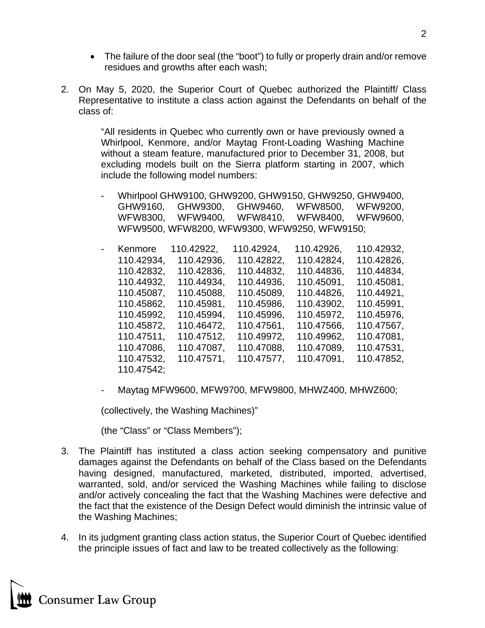- The failure of the door seal (the "boot") to fully or properly drain and/or remove residues and growths after each wash;
- 2. On May 5, 2020, the Superior Court of Quebec authorized the Plaintiff/ Class Representative to institute a class action against the Defendants on behalf of the class of:

"All residents in Quebec who currently own or have previously owned a Whirlpool, Kenmore, and/or Maytag Front-Loading Washing Machine without a steam feature, manufactured prior to December 31, 2008, but excluding models built on the Sierra platform starting in 2007, which include the following model numbers:

- Whirlpool GHW9100, GHW9200, GHW9150, GHW9250, GHW9400, GHW9160, GHW9300, GHW9460, WFW8500, WFW9200, WFW8300, WFW9400, WFW8410, WFW8400, WFW9600, WFW9500, WFW8200, WFW9300, WFW9250, WFW9150;
- Kenmore 110.42922, 110.42924, 110.42926, 110.42932, 110.42934, 110.42936, 110.42822, 110.42824, 110.42826, 110.42832, 110.42836, 110.44832, 110.44836, 110.44834, 110.44932, 110.44934, 110.44936, 110.45091, 110.45081, 110.45087, 110.45088, 110.45089, 110.44826, 110.44921, 110.45862, 110.45981, 110.45986, 110.43902, 110.45991, 110.45992, 110.45994, 110.45996, 110.45972, 110.45976, 110.45872, 110.46472, 110.47561, 110.47566, 110.47567, 110.47511, 110.47512, 110.49972, 110.49962, 110.47081, 110.47086, 110.47087, 110.47088, 110.47089, 110.47531, 110.47532, 110.47571, 110.47577, 110.47091, 110.47852, 110.47542;
- Maytag MFW9600, MFW9700, MFW9800, MHWZ400, MHWZ600;

(collectively, the Washing Machines)"

(the "Class" or "Class Members");

- 3. The Plaintiff has instituted a class action seeking compensatory and punitive damages against the Defendants on behalf of the Class based on the Defendants having designed, manufactured, marketed, distributed, imported, advertised, warranted, sold, and/or serviced the Washing Machines while failing to disclose and/or actively concealing the fact that the Washing Machines were defective and the fact that the existence of the Design Defect would diminish the intrinsic value of the Washing Machines;
- 4. In its judgment granting class action status, the Superior Court of Quebec identified the principle issues of fact and law to be treated collectively as the following: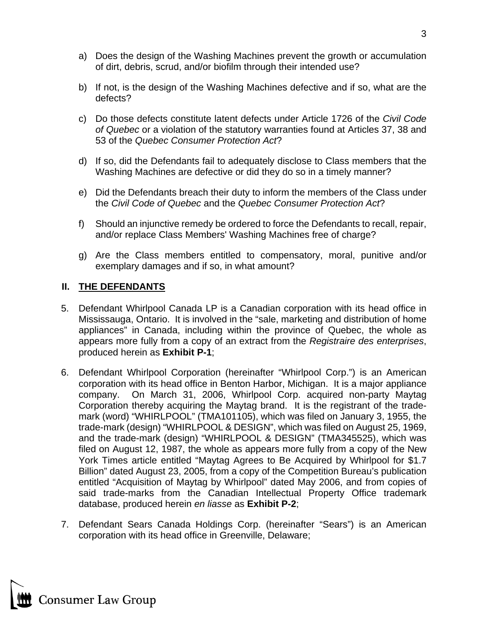- a) Does the design of the Washing Machines prevent the growth or accumulation of dirt, debris, scrud, and/or biofilm through their intended use?
- b) If not, is the design of the Washing Machines defective and if so, what are the defects?
- c) Do those defects constitute latent defects under Article 1726 of the *Civil Code of Quebec* or a violation of the statutory warranties found at Articles 37, 38 and 53 of the *Quebec Consumer Protection Act*?
- d) If so, did the Defendants fail to adequately disclose to Class members that the Washing Machines are defective or did they do so in a timely manner?
- e) Did the Defendants breach their duty to inform the members of the Class under the *Civil Code of Quebec* and the *Quebec Consumer Protection Act*?
- f) Should an injunctive remedy be ordered to force the Defendants to recall, repair, and/or replace Class Members' Washing Machines free of charge?
- g) Are the Class members entitled to compensatory, moral, punitive and/or exemplary damages and if so, in what amount?

## **II. THE DEFENDANTS**

- 5. Defendant Whirlpool Canada LP is a Canadian corporation with its head office in Mississauga, Ontario. It is involved in the "sale, marketing and distribution of home appliances" in Canada, including within the province of Quebec, the whole as appears more fully from a copy of an extract from the *Registraire des enterprises*, produced herein as **Exhibit P-1**;
- 6. Defendant Whirlpool Corporation (hereinafter "Whirlpool Corp.") is an American corporation with its head office in Benton Harbor, Michigan. It is a major appliance company. On March 31, 2006, Whirlpool Corp. acquired non-party Maytag Corporation thereby acquiring the Maytag brand. It is the registrant of the trademark (word) "WHIRLPOOL" (TMA101105), which was filed on January 3, 1955, the trade-mark (design) "WHIRLPOOL & DESIGN", which was filed on August 25, 1969, and the trade-mark (design) "WHIRLPOOL & DESIGN" (TMA345525), which was filed on August 12, 1987, the whole as appears more fully from a copy of the New York Times article entitled "Maytag Agrees to Be Acquired by Whirlpool for \$1.7 Billion" dated August 23, 2005, from a copy of the Competition Bureau's publication entitled "Acquisition of Maytag by Whirlpool" dated May 2006, and from copies of said trade-marks from the Canadian Intellectual Property Office trademark database, produced herein *en liasse* as **Exhibit P-2**;
- 7. Defendant Sears Canada Holdings Corp. (hereinafter "Sears") is an American corporation with its head office in Greenville, Delaware;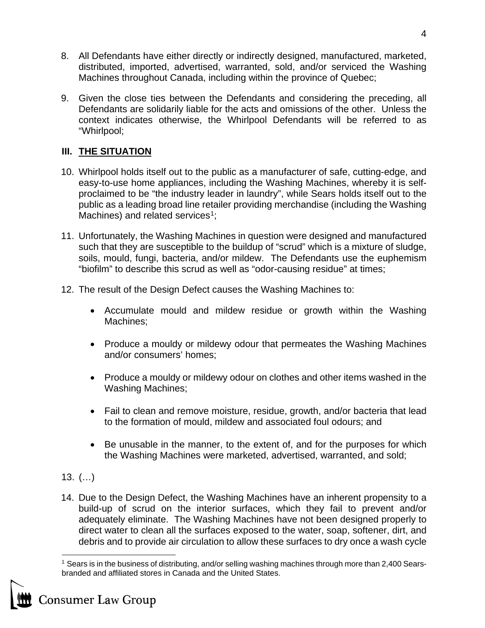- 8. All Defendants have either directly or indirectly designed, manufactured, marketed, distributed, imported, advertised, warranted, sold, and/or serviced the Washing Machines throughout Canada, including within the province of Quebec;
- 9. Given the close ties between the Defendants and considering the preceding, all Defendants are solidarily liable for the acts and omissions of the other. Unless the context indicates otherwise, the Whirlpool Defendants will be referred to as "Whirlpool;

# **III. THE SITUATION**

- 10. Whirlpool holds itself out to the public as a manufacturer of safe, cutting-edge, and easy-to-use home appliances, including the Washing Machines, whereby it is selfproclaimed to be "the industry leader in laundry", while Sears holds itself out to the public as a leading broad line retailer providing merchandise (including the Washing Machines) and related services<sup>[1](#page-3-0)</sup>;
- 11. Unfortunately, the Washing Machines in question were designed and manufactured such that they are susceptible to the buildup of "scrud" which is a mixture of sludge, soils, mould, fungi, bacteria, and/or mildew. The Defendants use the euphemism "biofilm" to describe this scrud as well as "odor-causing residue" at times;
- 12. The result of the Design Defect causes the Washing Machines to:
	- Accumulate mould and mildew residue or growth within the Washing Machines;
	- Produce a mouldy or mildewy odour that permeates the Washing Machines and/or consumers' homes;
	- Produce a mouldy or mildewy odour on clothes and other items washed in the Washing Machines;
	- Fail to clean and remove moisture, residue, growth, and/or bacteria that lead to the formation of mould, mildew and associated foul odours; and
	- Be unusable in the manner, to the extent of, and for the purposes for which the Washing Machines were marketed, advertised, warranted, and sold;

# 13. (…)

14. Due to the Design Defect, the Washing Machines have an inherent propensity to a build-up of scrud on the interior surfaces, which they fail to prevent and/or adequately eliminate. The Washing Machines have not been designed properly to direct water to clean all the surfaces exposed to the water, soap, softener, dirt, and debris and to provide air circulation to allow these surfaces to dry once a wash cycle

<span id="page-3-0"></span><sup>&</sup>lt;sup>1</sup> Sears is in the business of distributing, and/or selling washing machines through more than 2,400 Searsbranded and affiliated stores in Canada and the United States.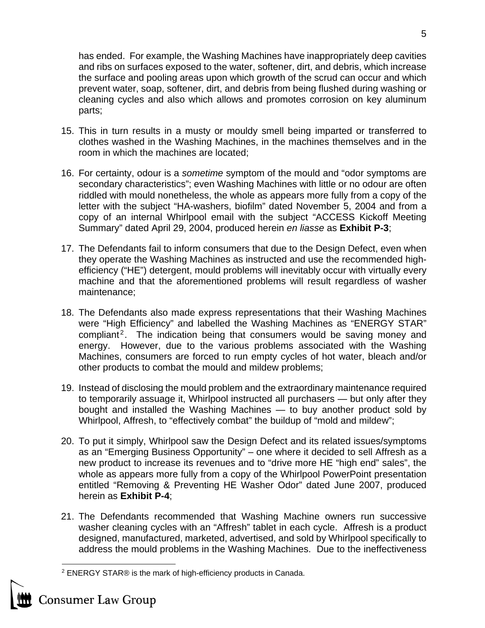has ended. For example, the Washing Machines have inappropriately deep cavities and ribs on surfaces exposed to the water, softener, dirt, and debris, which increase the surface and pooling areas upon which growth of the scrud can occur and which prevent water, soap, softener, dirt, and debris from being flushed during washing or cleaning cycles and also which allows and promotes corrosion on key aluminum parts;

- 15. This in turn results in a musty or mouldy smell being imparted or transferred to clothes washed in the Washing Machines, in the machines themselves and in the room in which the machines are located;
- 16. For certainty, odour is a *sometime* symptom of the mould and "odor symptoms are secondary characteristics"; even Washing Machines with little or no odour are often riddled with mould nonetheless, the whole as appears more fully from a copy of the letter with the subject "HA-washers, biofilm" dated November 5, 2004 and from a copy of an internal Whirlpool email with the subject "ACCESS Kickoff Meeting Summary" dated April 29, 2004, produced herein *en liasse* as **Exhibit P-3**;
- 17. The Defendants fail to inform consumers that due to the Design Defect, even when they operate the Washing Machines as instructed and use the recommended highefficiency ("HE") detergent, mould problems will inevitably occur with virtually every machine and that the aforementioned problems will result regardless of washer maintenance;
- 18. The Defendants also made express representations that their Washing Machines were "High Efficiency" and labelled the Washing Machines as "ENERGY STAR" compliant<sup>[2](#page-4-0)</sup>. The indication being that consumers would be saving money and energy. However, due to the various problems associated with the Washing Machines, consumers are forced to run empty cycles of hot water, bleach and/or other products to combat the mould and mildew problems;
- 19. Instead of disclosing the mould problem and the extraordinary maintenance required to temporarily assuage it, Whirlpool instructed all purchasers — but only after they bought and installed the Washing Machines — to buy another product sold by Whirlpool, Affresh, to "effectively combat" the buildup of "mold and mildew";
- 20. To put it simply, Whirlpool saw the Design Defect and its related issues/symptoms as an "Emerging Business Opportunity" – one where it decided to sell Affresh as a new product to increase its revenues and to "drive more HE "high end" sales", the whole as appears more fully from a copy of the Whirlpool PowerPoint presentation entitled "Removing & Preventing HE Washer Odor" dated June 2007, produced herein as **Exhibit P-4**;
- 21. The Defendants recommended that Washing Machine owners run successive washer cleaning cycles with an "Affresh" tablet in each cycle. Affresh is a product designed, manufactured, marketed, advertised, and sold by Whirlpool specifically to address the mould problems in the Washing Machines. Due to the ineffectiveness

<span id="page-4-0"></span>

<sup>2</sup> ENERGY STAR® is the mark of high-efficiency products in Canada.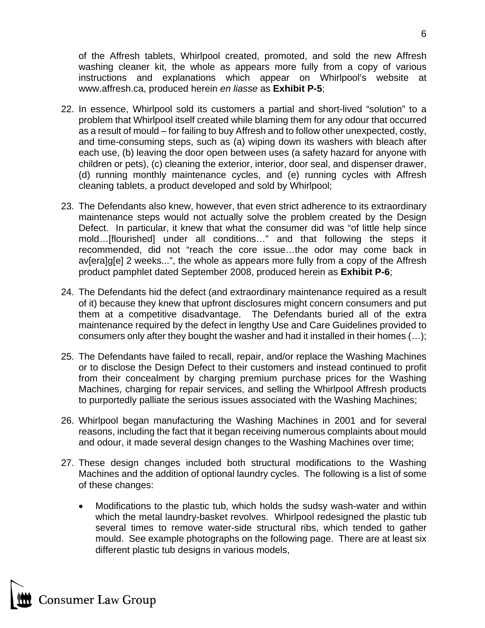of the Affresh tablets, Whirlpool created, promoted, and sold the new Affresh washing cleaner kit, the whole as appears more fully from a copy of various instructions and explanations which appear on Whirlpool's website at [www.affresh.ca,](http://www.affresh.ca/) produced herein *en liasse* as **Exhibit P-5**;

- 22. In essence, Whirlpool sold its customers a partial and short-lived "solution" to a problem that Whirlpool itself created while blaming them for any odour that occurred as a result of mould – for failing to buy Affresh and to follow other unexpected, costly, and time-consuming steps, such as (a) wiping down its washers with bleach after each use, (b) leaving the door open between uses (a safety hazard for anyone with children or pets), (c) cleaning the exterior, interior, door seal, and dispenser drawer, (d) running monthly maintenance cycles, and (e) running cycles with Affresh cleaning tablets, a product developed and sold by Whirlpool;
- 23. The Defendants also knew, however, that even strict adherence to its extraordinary maintenance steps would not actually solve the problem created by the Design Defect. In particular, it knew that what the consumer did was "of little help since mold…[flourished] under all conditions…" and that following the steps it recommended, did not "reach the core issue…the odor may come back in av[era]g[e] 2 weeks...", the whole as appears more fully from a copy of the Affresh product pamphlet dated September 2008, produced herein as **Exhibit P-6**;
- 24. The Defendants hid the defect (and extraordinary maintenance required as a result of it) because they knew that upfront disclosures might concern consumers and put them at a competitive disadvantage. The Defendants buried all of the extra maintenance required by the defect in lengthy Use and Care Guidelines provided to consumers only after they bought the washer and had it installed in their homes (…);
- 25. The Defendants have failed to recall, repair, and/or replace the Washing Machines or to disclose the Design Defect to their customers and instead continued to profit from their concealment by charging premium purchase prices for the Washing Machines, charging for repair services, and selling the Whirlpool Affresh products to purportedly palliate the serious issues associated with the Washing Machines;
- 26. Whirlpool began manufacturing the Washing Machines in 2001 and for several reasons, including the fact that it began receiving numerous complaints about mould and odour, it made several design changes to the Washing Machines over time;
- 27. These design changes included both structural modifications to the Washing Machines and the addition of optional laundry cycles. The following is a list of some of these changes:
	- Modifications to the plastic tub, which holds the sudsy wash-water and within which the metal laundry-basket revolves. Whirlpool redesigned the plastic tub several times to remove water-side structural ribs, which tended to gather mould. See example photographs on the following page. There are at least six different plastic tub designs in various models,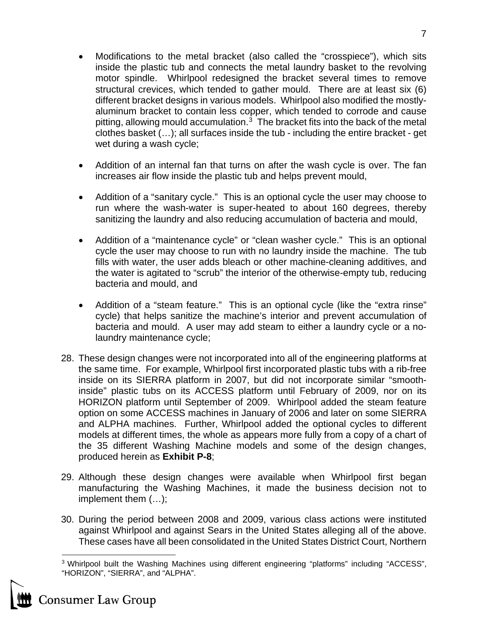- Modifications to the metal bracket (also called the "crosspiece"), which sits inside the plastic tub and connects the metal laundry basket to the revolving motor spindle. Whirlpool redesigned the bracket several times to remove structural crevices, which tended to gather mould. There are at least six (6) different bracket designs in various models. Whirlpool also modified the mostlyaluminum bracket to contain less copper, which tended to corrode and cause pitting, allowing mould accumulation. $3$  The bracket fits into the back of the metal clothes basket (…); all surfaces inside the tub - including the entire bracket - get wet during a wash cycle;
- Addition of an internal fan that turns on after the wash cycle is over. The fan increases air flow inside the plastic tub and helps prevent mould,
- Addition of a "sanitary cycle." This is an optional cycle the user may choose to run where the wash-water is super-heated to about 160 degrees, thereby sanitizing the laundry and also reducing accumulation of bacteria and mould,
- Addition of a "maintenance cycle" or "clean washer cycle." This is an optional cycle the user may choose to run with no laundry inside the machine. The tub fills with water, the user adds bleach or other machine-cleaning additives, and the water is agitated to "scrub" the interior of the otherwise-empty tub, reducing bacteria and mould, and
- Addition of a "steam feature." This is an optional cycle (like the "extra rinse" cycle) that helps sanitize the machine's interior and prevent accumulation of bacteria and mould. A user may add steam to either a laundry cycle or a nolaundry maintenance cycle;
- 28. These design changes were not incorporated into all of the engineering platforms at the same time. For example, Whirlpool first incorporated plastic tubs with a rib-free inside on its SIERRA platform in 2007, but did not incorporate similar "smoothinside" plastic tubs on its ACCESS platform until February of 2009, nor on its HORIZON platform until September of 2009. Whirlpool added the steam feature option on some ACCESS machines in January of 2006 and later on some SIERRA and ALPHA machines. Further, Whirlpool added the optional cycles to different models at different times, the whole as appears more fully from a copy of a chart of the 35 different Washing Machine models and some of the design changes, produced herein as **Exhibit P-8**;
- 29. Although these design changes were available when Whirlpool first began manufacturing the Washing Machines, it made the business decision not to implement them (…);
- 30. During the period between 2008 and 2009, various class actions were instituted against Whirlpool and against Sears in the United States alleging all of the above. These cases have all been consolidated in the United States District Court, Northern

<span id="page-6-0"></span><sup>3</sup> Whirlpool built the Washing Machines using different engineering "platforms" including "ACCESS", "HORIZON", "SIERRA", and "ALPHA".



**Consumer Law Group**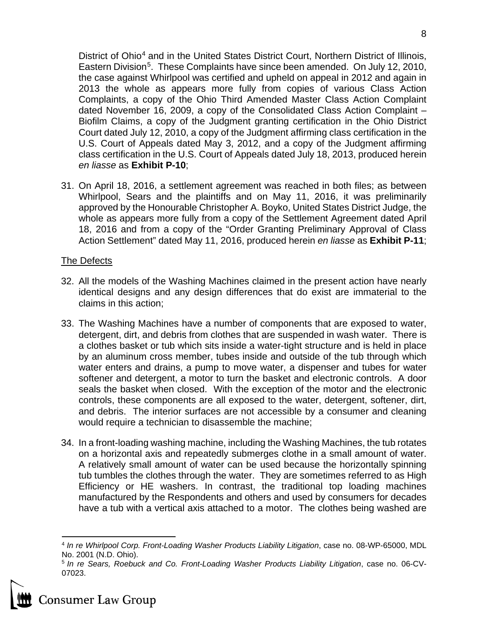District of Ohio<sup>[4](#page-7-0)</sup> and in the United States District Court, Northern District of Illinois, Eastern Division<sup>[5](#page-7-1)</sup>. These Complaints have since been amended. On July 12, 2010, the case against Whirlpool was certified and upheld on appeal in 2012 and again in 2013 the whole as appears more fully from copies of various Class Action Complaints, a copy of the Ohio Third Amended Master Class Action Complaint dated November 16, 2009, a copy of the Consolidated Class Action Complaint – Biofilm Claims, a copy of the Judgment granting certification in the Ohio District Court dated July 12, 2010, a copy of the Judgment affirming class certification in the U.S. Court of Appeals dated May 3, 2012, and a copy of the Judgment affirming class certification in the U.S. Court of Appeals dated July 18, 2013, produced herein *en liasse* as **Exhibit P-10**;

31. On April 18, 2016, a settlement agreement was reached in both files; as between Whirlpool, Sears and the plaintiffs and on May 11, 2016, it was preliminarily approved by the Honourable Christopher A. Boyko, United States District Judge, the whole as appears more fully from a copy of the Settlement Agreement dated April 18, 2016 and from a copy of the "Order Granting Preliminary Approval of Class Action Settlement" dated May 11, 2016, produced herein *en liasse* as **Exhibit P-11**;

## The Defects

- 32. All the models of the Washing Machines claimed in the present action have nearly identical designs and any design differences that do exist are immaterial to the claims in this action;
- 33. The Washing Machines have a number of components that are exposed to water, detergent, dirt, and debris from clothes that are suspended in wash water. There is a clothes basket or tub which sits inside a water-tight structure and is held in place by an aluminum cross member, tubes inside and outside of the tub through which water enters and drains, a pump to move water, a dispenser and tubes for water softener and detergent, a motor to turn the basket and electronic controls. A door seals the basket when closed. With the exception of the motor and the electronic controls, these components are all exposed to the water, detergent, softener, dirt, and debris. The interior surfaces are not accessible by a consumer and cleaning would require a technician to disassemble the machine;
- 34. In a front-loading washing machine, including the Washing Machines, the tub rotates on a horizontal axis and repeatedly submerges clothe in a small amount of water. A relatively small amount of water can be used because the horizontally spinning tub tumbles the clothes through the water. They are sometimes referred to as High Efficiency or HE washers. In contrast, the traditional top loading machines manufactured by the Respondents and others and used by consumers for decades have a tub with a vertical axis attached to a motor. The clothes being washed are



<span id="page-7-0"></span><sup>4</sup> *In re Whirlpool Corp. Front-Loading Washer Products Liability Litigation*, case no. 08-WP-65000, MDL No. 2001 (N.D. Ohio).

<span id="page-7-1"></span><sup>5</sup> *In re Sears, Roebuck and Co. Front-Loading Washer Products Liability Litigation*, case no. 06-CV-07023.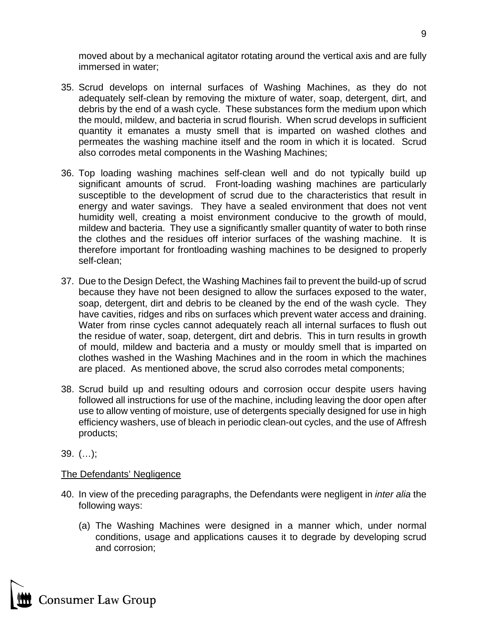moved about by a mechanical agitator rotating around the vertical axis and are fully immersed in water;

- 35. Scrud develops on internal surfaces of Washing Machines, as they do not adequately self-clean by removing the mixture of water, soap, detergent, dirt, and debris by the end of a wash cycle. These substances form the medium upon which the mould, mildew, and bacteria in scrud flourish. When scrud develops in sufficient quantity it emanates a musty smell that is imparted on washed clothes and permeates the washing machine itself and the room in which it is located. Scrud also corrodes metal components in the Washing Machines;
- 36. Top loading washing machines self-clean well and do not typically build up significant amounts of scrud. Front-loading washing machines are particularly susceptible to the development of scrud due to the characteristics that result in energy and water savings. They have a sealed environment that does not vent humidity well, creating a moist environment conducive to the growth of mould, mildew and bacteria. They use a significantly smaller quantity of water to both rinse the clothes and the residues off interior surfaces of the washing machine. It is therefore important for frontloading washing machines to be designed to properly self-clean;
- 37. Due to the Design Defect, the Washing Machines fail to prevent the build-up of scrud because they have not been designed to allow the surfaces exposed to the water, soap, detergent, dirt and debris to be cleaned by the end of the wash cycle. They have cavities, ridges and ribs on surfaces which prevent water access and draining. Water from rinse cycles cannot adequately reach all internal surfaces to flush out the residue of water, soap, detergent, dirt and debris. This in turn results in growth of mould, mildew and bacteria and a musty or mouldy smell that is imparted on clothes washed in the Washing Machines and in the room in which the machines are placed. As mentioned above, the scrud also corrodes metal components;
- 38. Scrud build up and resulting odours and corrosion occur despite users having followed all instructions for use of the machine, including leaving the door open after use to allow venting of moisture, use of detergents specially designed for use in high efficiency washers, use of bleach in periodic clean-out cycles, and the use of Affresh products;
- 39. (…);

## The Defendants' Negligence

- 40. In view of the preceding paragraphs, the Defendants were negligent in *inter alia* the following ways:
	- (a) The Washing Machines were designed in a manner which, under normal conditions, usage and applications causes it to degrade by developing scrud and corrosion;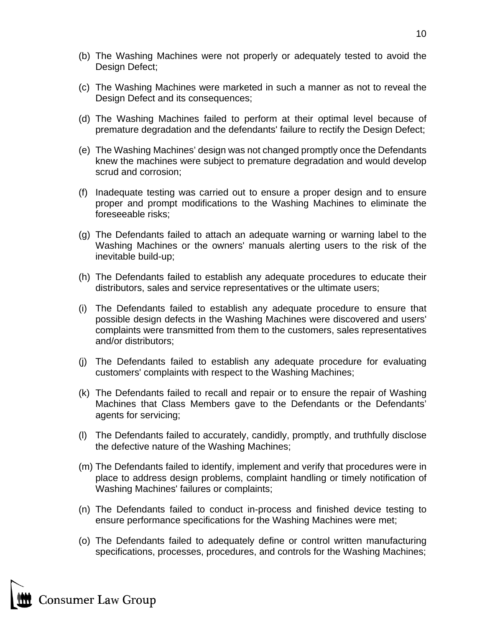- (b) The Washing Machines were not properly or adequately tested to avoid the Design Defect;
- (c) The Washing Machines were marketed in such a manner as not to reveal the Design Defect and its consequences;
- (d) The Washing Machines failed to perform at their optimal level because of premature degradation and the defendants' failure to rectify the Design Defect;
- (e) The Washing Machines' design was not changed promptly once the Defendants knew the machines were subject to premature degradation and would develop scrud and corrosion;
- (f) Inadequate testing was carried out to ensure a proper design and to ensure proper and prompt modifications to the Washing Machines to eliminate the foreseeable risks;
- (g) The Defendants failed to attach an adequate warning or warning label to the Washing Machines or the owners' manuals alerting users to the risk of the inevitable build-up;
- (h) The Defendants failed to establish any adequate procedures to educate their distributors, sales and service representatives or the ultimate users;
- (i) The Defendants failed to establish any adequate procedure to ensure that possible design defects in the Washing Machines were discovered and users' complaints were transmitted from them to the customers, sales representatives and/or distributors;
- (j) The Defendants failed to establish any adequate procedure for evaluating customers' complaints with respect to the Washing Machines;
- (k) The Defendants failed to recall and repair or to ensure the repair of Washing Machines that Class Members gave to the Defendants or the Defendants' agents for servicing;
- (l) The Defendants failed to accurately, candidly, promptly, and truthfully disclose the defective nature of the Washing Machines;
- (m) The Defendants failed to identify, implement and verify that procedures were in place to address design problems, complaint handling or timely notification of Washing Machines' failures or complaints;
- (n) The Defendants failed to conduct in-process and finished device testing to ensure performance specifications for the Washing Machines were met;
- (o) The Defendants failed to adequately define or control written manufacturing specifications, processes, procedures, and controls for the Washing Machines;

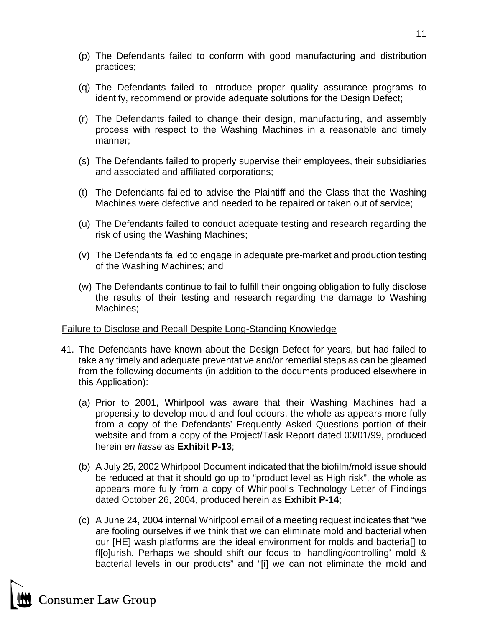- (p) The Defendants failed to conform with good manufacturing and distribution practices;
- (q) The Defendants failed to introduce proper quality assurance programs to identify, recommend or provide adequate solutions for the Design Defect;
- (r) The Defendants failed to change their design, manufacturing, and assembly process with respect to the Washing Machines in a reasonable and timely manner;
- (s) The Defendants failed to properly supervise their employees, their subsidiaries and associated and affiliated corporations;
- (t) The Defendants failed to advise the Plaintiff and the Class that the Washing Machines were defective and needed to be repaired or taken out of service;
- (u) The Defendants failed to conduct adequate testing and research regarding the risk of using the Washing Machines;
- (v) The Defendants failed to engage in adequate pre-market and production testing of the Washing Machines; and
- (w) The Defendants continue to fail to fulfill their ongoing obligation to fully disclose the results of their testing and research regarding the damage to Washing Machines;

#### Failure to Disclose and Recall Despite Long-Standing Knowledge

- 41. The Defendants have known about the Design Defect for years, but had failed to take any timely and adequate preventative and/or remedial steps as can be gleamed from the following documents (in addition to the documents produced elsewhere in this Application):
	- (a) Prior to 2001, Whirlpool was aware that their Washing Machines had a propensity to develop mould and foul odours, the whole as appears more fully from a copy of the Defendants' Frequently Asked Questions portion of their website and from a copy of the Project/Task Report dated 03/01/99, produced herein *en liasse* as **Exhibit P-13**;
	- (b) A July 25, 2002 Whirlpool Document indicated that the biofilm/mold issue should be reduced at that it should go up to "product level as High risk", the whole as appears more fully from a copy of Whirlpool's Technology Letter of Findings dated October 26, 2004, produced herein as **Exhibit P-14**;
	- (c) A June 24, 2004 internal Whirlpool email of a meeting request indicates that "we are fooling ourselves if we think that we can eliminate mold and bacterial when our [HE] wash platforms are the ideal environment for molds and bacteria[] to fl[o]urish. Perhaps we should shift our focus to 'handling/controlling' mold & bacterial levels in our products" and "[i] we can not eliminate the mold and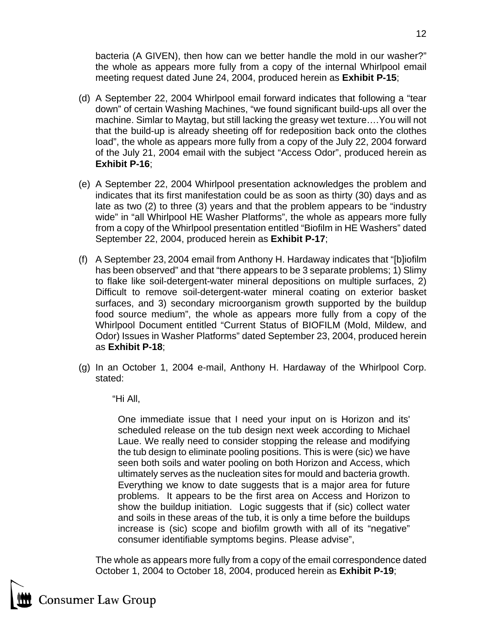bacteria (A GIVEN), then how can we better handle the mold in our washer?" the whole as appears more fully from a copy of the internal Whirlpool email meeting request dated June 24, 2004, produced herein as **Exhibit P-15**;

- (d) A September 22, 2004 Whirlpool email forward indicates that following a "tear down" of certain Washing Machines, "we found significant build-ups all over the machine. Simlar to Maytag, but still lacking the greasy wet texture….You will not that the build-up is already sheeting off for redeposition back onto the clothes load", the whole as appears more fully from a copy of the July 22, 2004 forward of the July 21, 2004 email with the subject "Access Odor", produced herein as **Exhibit P-16**;
- (e) A September 22, 2004 Whirlpool presentation acknowledges the problem and indicates that its first manifestation could be as soon as thirty (30) days and as late as two (2) to three (3) years and that the problem appears to be "industry wide" in "all Whirlpool HE Washer Platforms", the whole as appears more fully from a copy of the Whirlpool presentation entitled "Biofilm in HE Washers" dated September 22, 2004, produced herein as **Exhibit P-17**;
- (f) A September 23, 2004 email from Anthony H. Hardaway indicates that "[b]iofilm has been observed" and that "there appears to be 3 separate problems; 1) Slimy to flake like soil-detergent-water mineral depositions on multiple surfaces, 2) Difficult to remove soil-detergent-water mineral coating on exterior basket surfaces, and 3) secondary microorganism growth supported by the buildup food source medium", the whole as appears more fully from a copy of the Whirlpool Document entitled "Current Status of BIOFILM (Mold, Mildew, and Odor) Issues in Washer Platforms" dated September 23, 2004, produced herein as **Exhibit P-18**;
- (g) In an October 1, 2004 e-mail, Anthony H. Hardaway of the Whirlpool Corp. stated:

"Hi All,

One immediate issue that I need your input on is Horizon and its' scheduled release on the tub design next week according to Michael Laue. We really need to consider stopping the release and modifying the tub design to eliminate pooling positions. This is were (sic) we have seen both soils and water pooling on both Horizon and Access, which ultimately serves as the nucleation sites for mould and bacteria growth. Everything we know to date suggests that is a major area for future problems. It appears to be the first area on Access and Horizon to show the buildup initiation. Logic suggests that if (sic) collect water and soils in these areas of the tub, it is only a time before the buildups increase is (sic) scope and biofilm growth with all of its "negative" consumer identifiable symptoms begins. Please advise",

The whole as appears more fully from a copy of the email correspondence dated October 1, 2004 to October 18, 2004, produced herein as **Exhibit P-19**;

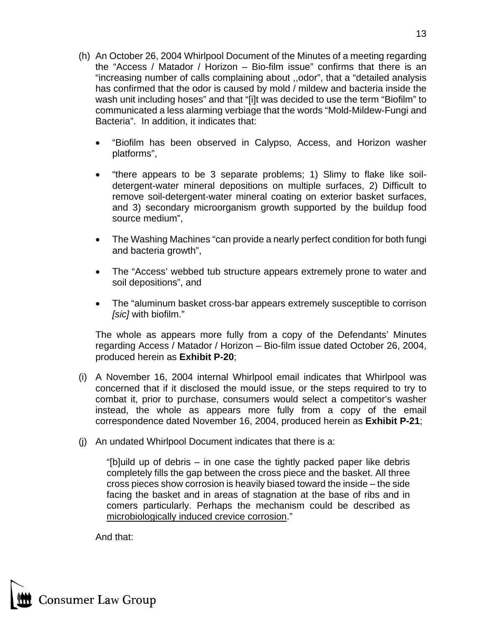- (h) An October 26, 2004 Whirlpool Document of the Minutes of a meeting regarding the "Access / Matador / Horizon – Bio-film issue" confirms that there is an "increasing number of calls complaining about ,,odor", that a "detailed analysis has confirmed that the odor is caused by mold / mildew and bacteria inside the wash unit including hoses" and that "[i]t was decided to use the term "Biofilm" to communicated a less alarming verbiage that the words "Mold-Mildew-Fungi and Bacteria". In addition, it indicates that:
	- "Biofilm has been observed in Calypso, Access, and Horizon washer platforms",
	- "there appears to be 3 separate problems; 1) Slimy to flake like soildetergent-water mineral depositions on multiple surfaces, 2) Difficult to remove soil-detergent-water mineral coating on exterior basket surfaces, and 3) secondary microorganism growth supported by the buildup food source medium",
	- The Washing Machines "can provide a nearly perfect condition for both fungi and bacteria growth",
	- The "Access' webbed tub structure appears extremely prone to water and soil depositions", and
	- The "aluminum basket cross-bar appears extremely susceptible to corrison *[sic]* with biofilm."

The whole as appears more fully from a copy of the Defendants' Minutes regarding Access / Matador / Horizon – Bio-film issue dated October 26, 2004, produced herein as **Exhibit P-20**;

- (i) A November 16, 2004 internal Whirlpool email indicates that Whirlpool was concerned that if it disclosed the mould issue, or the steps required to try to combat it, prior to purchase, consumers would select a competitor's washer instead, the whole as appears more fully from a copy of the email correspondence dated November 16, 2004, produced herein as **Exhibit P-21**;
- (j) An undated Whirlpool Document indicates that there is a:

"[b]uild up of debris – in one case the tightly packed paper like debris completely fills the gap between the cross piece and the basket. All three cross pieces show corrosion is heavily biased toward the inside – the side facing the basket and in areas of stagnation at the base of ribs and in comers particularly. Perhaps the mechanism could be described as microbiologically induced crevice corrosion."

And that:

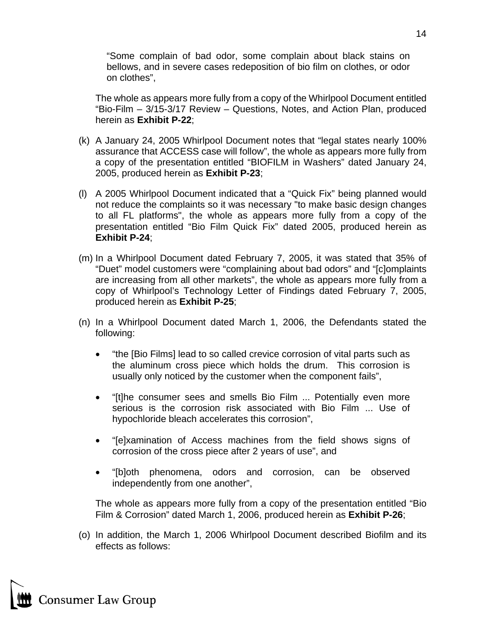"Some complain of bad odor, some complain about black stains on bellows, and in severe cases redeposition of bio film on clothes, or odor on clothes",

The whole as appears more fully from a copy of the Whirlpool Document entitled "Bio-Film – 3/15-3/17 Review – Questions, Notes, and Action Plan, produced herein as **Exhibit P-22**;

- (k) A January 24, 2005 Whirlpool Document notes that "legal states nearly 100% assurance that ACCESS case will follow", the whole as appears more fully from a copy of the presentation entitled "BIOFILM in Washers" dated January 24, 2005, produced herein as **Exhibit P-23**;
- (l) A 2005 Whirlpool Document indicated that a "Quick Fix" being planned would not reduce the complaints so it was necessary "to make basic design changes to all FL platforms", the whole as appears more fully from a copy of the presentation entitled "Bio Film Quick Fix" dated 2005, produced herein as **Exhibit P-24**;
- (m) In a Whirlpool Document dated February 7, 2005, it was stated that 35% of "Duet" model customers were "complaining about bad odors" and "[c]omplaints are increasing from all other markets", the whole as appears more fully from a copy of Whirlpool's Technology Letter of Findings dated February 7, 2005, produced herein as **Exhibit P-25**;
- (n) In a Whirlpool Document dated March 1, 2006, the Defendants stated the following:
	- "the [Bio Films] lead to so called crevice corrosion of vital parts such as the aluminum cross piece which holds the drum. This corrosion is usually only noticed by the customer when the component fails",
	- "[t]he consumer sees and smells Bio Film ... Potentially even more serious is the corrosion risk associated with Bio Film ... Use of hypochloride bleach accelerates this corrosion",
	- "[e]xamination of Access machines from the field shows signs of corrosion of the cross piece after 2 years of use", and
	- "[b]oth phenomena, odors and corrosion, can be observed independently from one another",

The whole as appears more fully from a copy of the presentation entitled "Bio Film & Corrosion" dated March 1, 2006, produced herein as **Exhibit P-26**;

(o) In addition, the March 1, 2006 Whirlpool Document described Biofilm and its effects as follows:

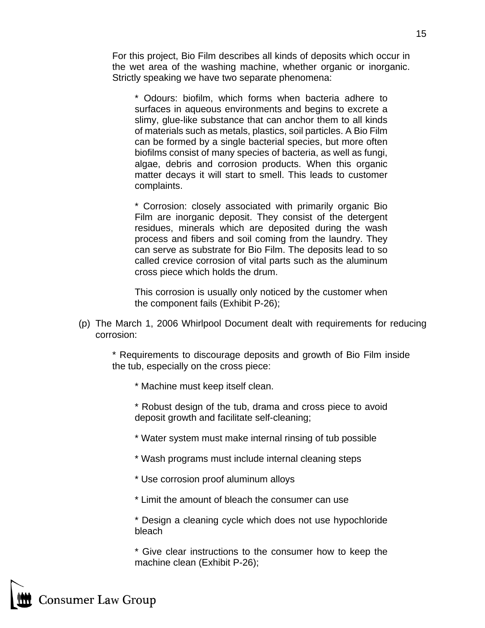For this project, Bio Film describes all kinds of deposits which occur in the wet area of the washing machine, whether organic or inorganic. Strictly speaking we have two separate phenomena:

\* Odours: biofilm, which forms when bacteria adhere to surfaces in aqueous environments and begins to excrete a slimy, glue-like substance that can anchor them to all kinds of materials such as metals, plastics, soil particles. A Bio Film can be formed by a single bacterial species, but more often biofilms consist of many species of bacteria, as well as fungi, algae, debris and corrosion products. When this organic matter decays it will start to smell. This leads to customer complaints.

\* Corrosion: closely associated with primarily organic Bio Film are inorganic deposit. They consist of the detergent residues, minerals which are deposited during the wash process and fibers and soil coming from the laundry. They can serve as substrate for Bio Film. The deposits lead to so called crevice corrosion of vital parts such as the aluminum cross piece which holds the drum.

This corrosion is usually only noticed by the customer when the component fails (Exhibit P-26);

(p) The March 1, 2006 Whirlpool Document dealt with requirements for reducing corrosion:

\* Requirements to discourage deposits and growth of Bio Film inside the tub, especially on the cross piece:

- \* Machine must keep itself clean.
- \* Robust design of the tub, drama and cross piece to avoid deposit growth and facilitate self-cleaning;
- \* Water system must make internal rinsing of tub possible
- \* Wash programs must include internal cleaning steps
- \* Use corrosion proof aluminum alloys
- \* Limit the amount of bleach the consumer can use
- \* Design a cleaning cycle which does not use hypochloride bleach

\* Give clear instructions to the consumer how to keep the machine clean (Exhibit P-26);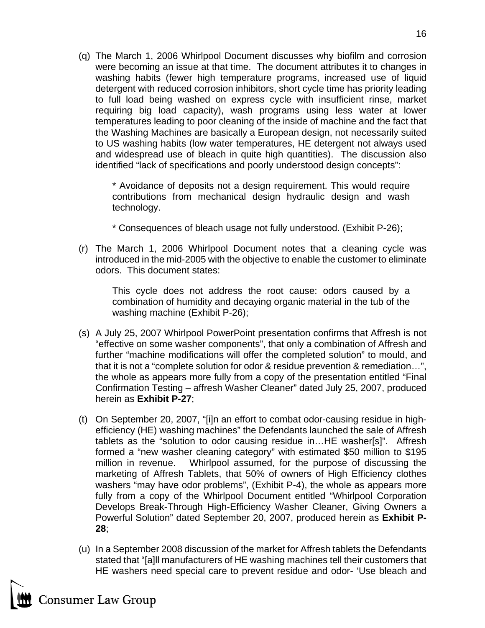(q) The March 1, 2006 Whirlpool Document discusses why biofilm and corrosion were becoming an issue at that time. The document attributes it to changes in washing habits (fewer high temperature programs, increased use of liquid detergent with reduced corrosion inhibitors, short cycle time has priority leading to full load being washed on express cycle with insufficient rinse, market requiring big load capacity), wash programs using less water at lower temperatures leading to poor cleaning of the inside of machine and the fact that the Washing Machines are basically a European design, not necessarily suited to US washing habits (low water temperatures, HE detergent not always used and widespread use of bleach in quite high quantities). The discussion also identified "lack of specifications and poorly understood design concepts":

\* Avoidance of deposits not a design requirement. This would require contributions from mechanical design hydraulic design and wash technology.

\* Consequences of bleach usage not fully understood. (Exhibit P-26);

(r) The March 1, 2006 Whirlpool Document notes that a cleaning cycle was introduced in the mid-2005 with the objective to enable the customer to eliminate odors. This document states:

This cycle does not address the root cause: odors caused by a combination of humidity and decaying organic material in the tub of the washing machine (Exhibit P-26);

- (s) A July 25, 2007 Whirlpool PowerPoint presentation confirms that Affresh is not "effective on some washer components", that only a combination of Affresh and further "machine modifications will offer the completed solution" to mould, and that it is not a "complete solution for odor & residue prevention & remediation…", the whole as appears more fully from a copy of the presentation entitled "Final Confirmation Testing – affresh Washer Cleaner" dated July 25, 2007, produced herein as **Exhibit P-27**;
- (t) On September 20, 2007, "[i]n an effort to combat odor-causing residue in highefficiency (HE) washing machines" the Defendants launched the sale of Affresh tablets as the "solution to odor causing residue in…HE washer[s]". Affresh formed a "new washer cleaning category" with estimated \$50 million to \$195 million in revenue. Whirlpool assumed, for the purpose of discussing the marketing of Affresh Tablets, that 50% of owners of High Efficiency clothes washers "may have odor problems", (Exhibit P-4), the whole as appears more fully from a copy of the Whirlpool Document entitled "Whirlpool Corporation Develops Break-Through High-Efficiency Washer Cleaner, Giving Owners a Powerful Solution" dated September 20, 2007, produced herein as **Exhibit P-28**;
- (u) In a September 2008 discussion of the market for Affresh tablets the Defendants stated that "[a]ll manufacturers of HE washing machines tell their customers that HE washers need special care to prevent residue and odor- 'Use bleach and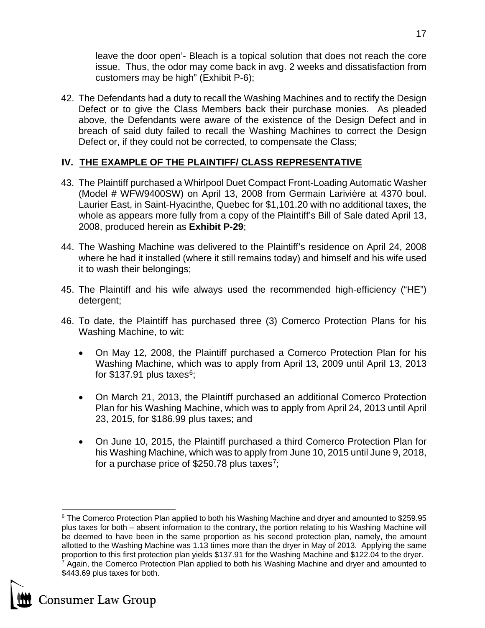leave the door open'- Bleach is a topical solution that does not reach the core issue. Thus, the odor may come back in avg. 2 weeks and dissatisfaction from customers may be high" (Exhibit P-6);

42. The Defendants had a duty to recall the Washing Machines and to rectify the Design Defect or to give the Class Members back their purchase monies. As pleaded above, the Defendants were aware of the existence of the Design Defect and in breach of said duty failed to recall the Washing Machines to correct the Design Defect or, if they could not be corrected, to compensate the Class;

## **IV. THE EXAMPLE OF THE PLAINTIFF/ CLASS REPRESENTATIVE**

- 43. The Plaintiff purchased a Whirlpool Duet Compact Front-Loading Automatic Washer (Model # WFW9400SW) on April 13, 2008 from Germain Larivière at 4370 boul. Laurier East, in Saint-Hyacinthe, Quebec for \$1,101.20 with no additional taxes, the whole as appears more fully from a copy of the Plaintiff's Bill of Sale dated April 13, 2008, produced herein as **Exhibit P-29**;
- 44. The Washing Machine was delivered to the Plaintiff's residence on April 24, 2008 where he had it installed (where it still remains today) and himself and his wife used it to wash their belongings;
- 45. The Plaintiff and his wife always used the recommended high-efficiency ("HE") detergent;
- 46. To date, the Plaintiff has purchased three (3) Comerco Protection Plans for his Washing Machine, to wit:
	- On May 12, 2008, the Plaintiff purchased a Comerco Protection Plan for his Washing Machine, which was to apply from April 13, 2009 until April 13, 2013 for  $$137.91$  plus taxes<sup>6</sup>;
	- On March 21, 2013, the Plaintiff purchased an additional Comerco Protection Plan for his Washing Machine, which was to apply from April 24, 2013 until April 23, 2015, for \$186.99 plus taxes; and
	- On June 10, 2015, the Plaintiff purchased a third Comerco Protection Plan for his Washing Machine, which was to apply from June 10, 2015 until June 9, 2018, for a purchase price of \$250.78 plus taxes<sup>7</sup>;

<span id="page-16-1"></span>

<span id="page-16-0"></span><sup>&</sup>lt;sup>6</sup> The Comerco Protection Plan applied to both his Washing Machine and dryer and amounted to \$259.95 plus taxes for both – absent information to the contrary, the portion relating to his Washing Machine will be deemed to have been in the same proportion as his second protection plan, namely, the amount allotted to the Washing Machine was 1.13 times more than the dryer in May of 2013. Applying the same proportion to this first protection plan yields \$137.91 for the Washing Machine and \$122.04 to the dryer. <sup>7</sup> Again, the Comerco Protection Plan applied to both his Washing Machine and dryer and amounted to \$443.69 plus taxes for both.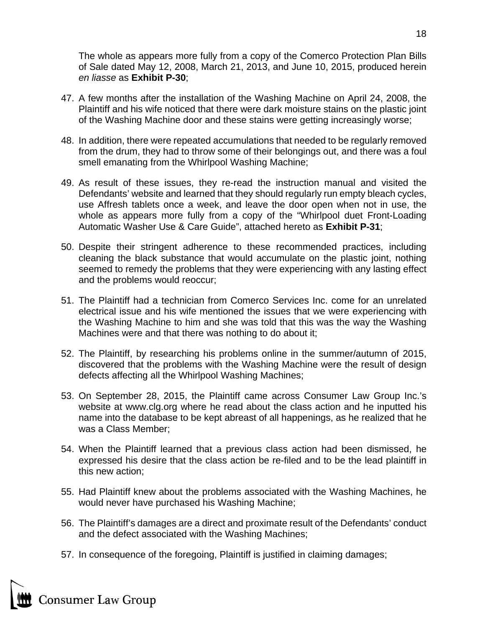The whole as appears more fully from a copy of the Comerco Protection Plan Bills of Sale dated May 12, 2008, March 21, 2013, and June 10, 2015, produced herein *en liasse* as **Exhibit P-30**;

- 47. A few months after the installation of the Washing Machine on April 24, 2008, the Plaintiff and his wife noticed that there were dark moisture stains on the plastic joint of the Washing Machine door and these stains were getting increasingly worse;
- 48. In addition, there were repeated accumulations that needed to be regularly removed from the drum, they had to throw some of their belongings out, and there was a foul smell emanating from the Whirlpool Washing Machine;
- 49. As result of these issues, they re-read the instruction manual and visited the Defendants' website and learned that they should regularly run empty bleach cycles, use Affresh tablets once a week, and leave the door open when not in use, the whole as appears more fully from a copy of the "Whirlpool duet Front-Loading Automatic Washer Use & Care Guide", attached hereto as **Exhibit P-31**;
- 50. Despite their stringent adherence to these recommended practices, including cleaning the black substance that would accumulate on the plastic joint, nothing seemed to remedy the problems that they were experiencing with any lasting effect and the problems would reoccur;
- 51. The Plaintiff had a technician from Comerco Services Inc. come for an unrelated electrical issue and his wife mentioned the issues that we were experiencing with the Washing Machine to him and she was told that this was the way the Washing Machines were and that there was nothing to do about it;
- 52. The Plaintiff, by researching his problems online in the summer/autumn of 2015, discovered that the problems with the Washing Machine were the result of design defects affecting all the Whirlpool Washing Machines;
- 53. On September 28, 2015, the Plaintiff came across Consumer Law Group Inc.'s website at www.clg.org where he read about the class action and he inputted his name into the database to be kept abreast of all happenings, as he realized that he was a Class Member;
- 54. When the Plaintiff learned that a previous class action had been dismissed, he expressed his desire that the class action be re-filed and to be the lead plaintiff in this new action;
- 55. Had Plaintiff knew about the problems associated with the Washing Machines, he would never have purchased his Washing Machine;
- 56. The Plaintiff's damages are a direct and proximate result of the Defendants' conduct and the defect associated with the Washing Machines;
- 57. In consequence of the foregoing, Plaintiff is justified in claiming damages;

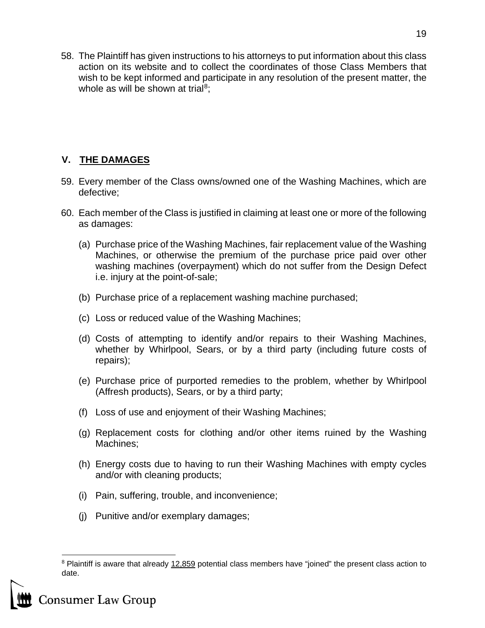58. The Plaintiff has given instructions to his attorneys to put information about this class action on its website and to collect the coordinates of those Class Members that wish to be kept informed and participate in any resolution of the present matter, the whole as will be shown at trial<sup>[8](#page-18-0)</sup>;

# **V. THE DAMAGES**

- 59. Every member of the Class owns/owned one of the Washing Machines, which are defective;
- 60. Each member of the Class is justified in claiming at least one or more of the following as damages:
	- (a) Purchase price of the Washing Machines, fair replacement value of the Washing Machines, or otherwise the premium of the purchase price paid over other washing machines (overpayment) which do not suffer from the Design Defect i.e. injury at the point-of-sale;
	- (b) Purchase price of a replacement washing machine purchased;
	- (c) Loss or reduced value of the Washing Machines;
	- (d) Costs of attempting to identify and/or repairs to their Washing Machines, whether by Whirlpool, Sears, or by a third party (including future costs of repairs);
	- (e) Purchase price of purported remedies to the problem, whether by Whirlpool (Affresh products), Sears, or by a third party;
	- (f) Loss of use and enjoyment of their Washing Machines;
	- (g) Replacement costs for clothing and/or other items ruined by the Washing Machines;
	- (h) Energy costs due to having to run their Washing Machines with empty cycles and/or with cleaning products;
	- (i) Pain, suffering, trouble, and inconvenience;
	- (j) Punitive and/or exemplary damages;

<span id="page-18-0"></span><sup>&</sup>lt;sup>8</sup> Plaintiff is aware that already 12,859 potential class members have "joined" the present class action to date.



**Consumer Law Group**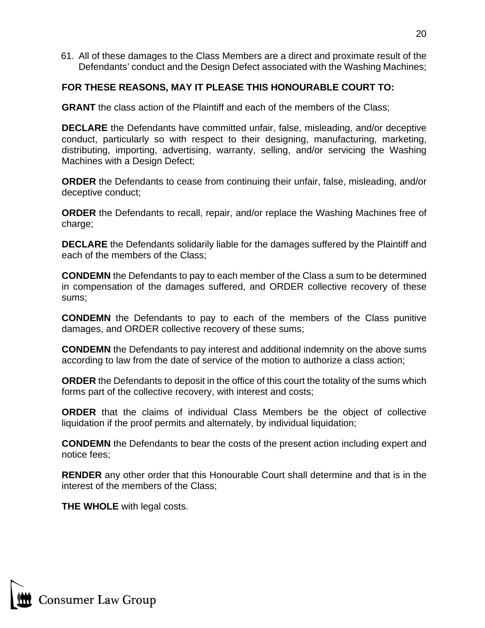61. All of these damages to the Class Members are a direct and proximate result of the Defendants' conduct and the Design Defect associated with the Washing Machines;

## **FOR THESE REASONS, MAY IT PLEASE THIS HONOURABLE COURT TO:**

**GRANT** the class action of the Plaintiff and each of the members of the Class;

**DECLARE** the Defendants have committed unfair, false, misleading, and/or deceptive conduct, particularly so with respect to their designing, manufacturing, marketing, distributing, importing, advertising, warranty, selling, and/or servicing the Washing Machines with a Design Defect;

**ORDER** the Defendants to cease from continuing their unfair, false, misleading, and/or deceptive conduct;

**ORDER** the Defendants to recall, repair, and/or replace the Washing Machines free of charge;

**DECLARE** the Defendants solidarily liable for the damages suffered by the Plaintiff and each of the members of the Class;

**CONDEMN** the Defendants to pay to each member of the Class a sum to be determined in compensation of the damages suffered, and ORDER collective recovery of these sums;

**CONDEMN** the Defendants to pay to each of the members of the Class punitive damages, and ORDER collective recovery of these sums;

**CONDEMN** the Defendants to pay interest and additional indemnity on the above sums according to law from the date of service of the motion to authorize a class action;

**ORDER** the Defendants to deposit in the office of this court the totality of the sums which forms part of the collective recovery, with interest and costs;

**ORDER** that the claims of individual Class Members be the object of collective liquidation if the proof permits and alternately, by individual liquidation;

**CONDEMN** the Defendants to bear the costs of the present action including expert and notice fees;

**RENDER** any other order that this Honourable Court shall determine and that is in the interest of the members of the Class;

**THE WHOLE** with legal costs.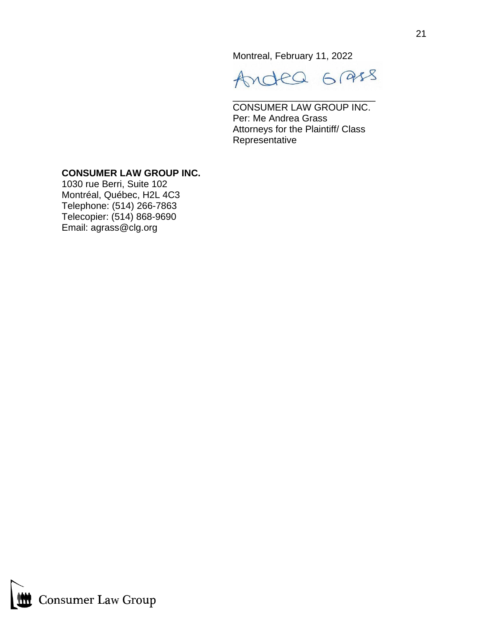Montreal, February 11, 2022

Andea Grass

\_\_\_\_\_\_\_\_\_\_\_\_\_\_\_\_\_\_\_\_\_\_\_\_\_\_\_

CONSUMER LAW GROUP INC. Per: Me Andrea Grass Attorneys for the Plaintiff/ Class Representative

## **CONSUMER LAW GROUP INC.**

1030 rue Berri, Suite 102 Montréal, Québec, H2L 4C3 Telephone: (514) 266-7863 Telecopier: (514) 868-9690 Email: agrass@clg.org

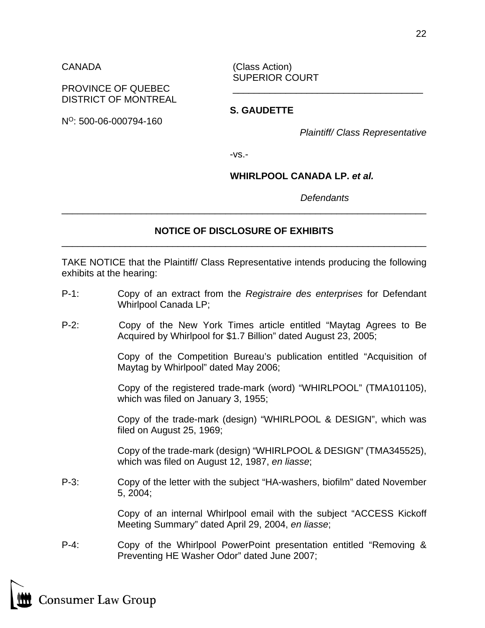CANADA (Class Action) SUPERIOR COURT

## PROVINCE OF QUEBEC DISTRICT OF MONTREAL

**S. GAUDETTE** NO: 500-06-000794-160

*Plaintiff/ Class Representative*

-vs.-

## **WHIRLPOOL CANADA LP.** *et al.*

*Defendants* 

## **NOTICE OF DISCLOSURE OF EXHIBITS** \_\_\_\_\_\_\_\_\_\_\_\_\_\_\_\_\_\_\_\_\_\_\_\_\_\_\_\_\_\_\_\_\_\_\_\_\_\_\_\_\_\_\_\_\_\_\_\_\_\_\_\_\_\_\_\_\_\_\_\_\_\_\_\_\_\_\_\_\_

\_\_\_\_\_\_\_\_\_\_\_\_\_\_\_\_\_\_\_\_\_\_\_\_\_\_\_\_\_\_\_\_\_\_\_\_\_\_\_\_\_\_\_\_\_\_\_\_\_\_\_\_\_\_\_\_\_\_\_\_\_\_\_\_\_\_\_\_\_

TAKE NOTICE that the Plaintiff/ Class Representative intends producing the following exhibits at the hearing:

- P-1: Copy of an extract from the *Registraire des enterprises* for Defendant Whirlpool Canada LP;
- P-2: Copy of the New York Times article entitled "Maytag Agrees to Be Acquired by Whirlpool for \$1.7 Billion" dated August 23, 2005;

Copy of the Competition Bureau's publication entitled "Acquisition of Maytag by Whirlpool" dated May 2006;

Copy of the registered trade-mark (word) "WHIRLPOOL" (TMA101105), which was filed on January 3, 1955;

Copy of the trade-mark (design) "WHIRLPOOL & DESIGN", which was filed on August 25, 1969;

Copy of the trade-mark (design) "WHIRLPOOL & DESIGN" (TMA345525), which was filed on August 12, 1987, *en liasse*;

P-3: Copy of the letter with the subject "HA-washers, biofilm" dated November 5, 2004;

> Copy of an internal Whirlpool email with the subject "ACCESS Kickoff Meeting Summary" dated April 29, 2004, *en liasse*;

P-4: Copy of the Whirlpool PowerPoint presentation entitled "Removing & Preventing HE Washer Odor" dated June 2007;

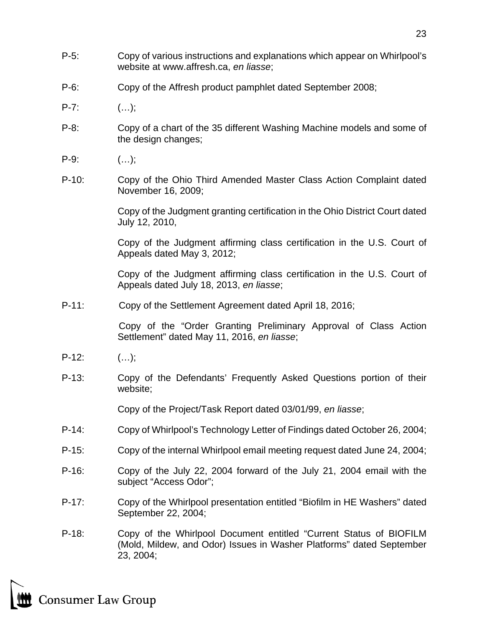- P-5: Copy of various instructions and explanations which appear on Whirlpool's website at [www.affresh.ca,](http://www.affresh.ca/) *en liasse*;
- P-6: Copy of the Affresh product pamphlet dated September 2008;
- $P-7:$  (...);
- P-8: Copy of a chart of the 35 different Washing Machine models and some of the design changes;
- $P-9:$  (...);
- P-10: Copy of the Ohio Third Amended Master Class Action Complaint dated November 16, 2009;

Copy of the Judgment granting certification in the Ohio District Court dated July 12, 2010,

Copy of the Judgment affirming class certification in the U.S. Court of Appeals dated May 3, 2012;

Copy of the Judgment affirming class certification in the U.S. Court of Appeals dated July 18, 2013, *en liasse*;

P-11: Copy of the Settlement Agreement dated April 18, 2016;

Copy of the "Order Granting Preliminary Approval of Class Action Settlement" dated May 11, 2016, *en liasse*;

- $P-12:$   $(...);$
- P-13: Copy of the Defendants' Frequently Asked Questions portion of their website;

Copy of the Project/Task Report dated 03/01/99, *en liasse*;

- P-14: Copy of Whirlpool's Technology Letter of Findings dated October 26, 2004;
- P-15: Copy of the internal Whirlpool email meeting request dated June 24, 2004;
- P-16: Copy of the July 22, 2004 forward of the July 21, 2004 email with the subject "Access Odor";
- P-17: Copy of the Whirlpool presentation entitled "Biofilm in HE Washers" dated September 22, 2004;
- P-18: Copy of the Whirlpool Document entitled "Current Status of BIOFILM (Mold, Mildew, and Odor) Issues in Washer Platforms" dated September 23, 2004;